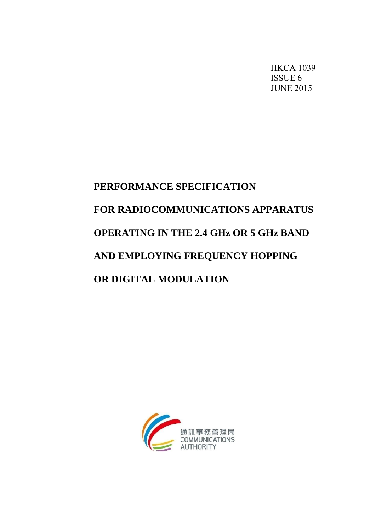HKCA 1039 ISSUE 6 JUNE 2015

# **PERFORMANCE SPECIFICATION FOR RADIOCOMMUNICATIONS APPARATUS OPERATING IN THE 2.4 GHz OR 5 GHz BAND AND EMPLOYING FREQUENCY HOPPING OR DIGITAL MODULATION**

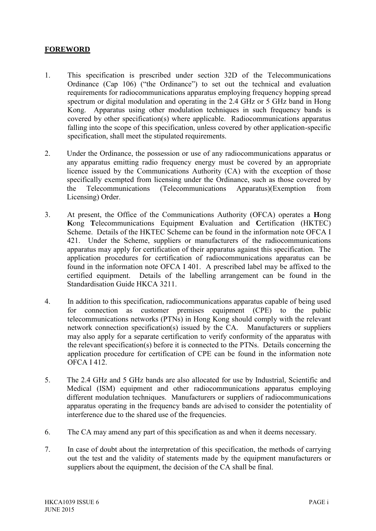# **FOREWORD**

- 1. This specification is prescribed under section 32D of the Telecommunications Ordinance (Cap 106) ("the Ordinance") to set out the technical and evaluation requirements for radiocommunications apparatus employing frequency hopping spread spectrum or digital modulation and operating in the 2.4 GHz or 5 GHz band in Hong Kong. Apparatus using other modulation techniques in such frequency bands is covered by other specification(s) where applicable. Radiocommunications apparatus falling into the scope of this specification, unless covered by other application-specific specification, shall meet the stipulated requirements.
- 2. Under the Ordinance, the possession or use of any radiocommunications apparatus or any apparatus emitting radio frequency energy must be covered by an appropriate licence issued by the Communications Authority (CA) with the exception of those specifically exempted from licensing under the Ordinance, such as those covered by the Telecommunications (Telecommunications Apparatus)(Exemption from Licensing) Order.
- 3. At present, the Office of the Communications Authority (OFCA) operates a **H**ong **K**ong **T**elecommunications Equipment **E**valuation and **C**ertification (HKTEC) Scheme. Details of the HKTEC Scheme can be found in the information note OFCA I 421. Under the Scheme, suppliers or manufacturers of the radiocommunications apparatus may apply for certification of their apparatus against this specification. The application procedures for certification of radiocommunications apparatus can be found in the information note OFCA I 401. A prescribed label may be affixed to the certified equipment. Details of the labelling arrangement can be found in the Standardisation Guide HKCA 3211.
- 4. In addition to this specification, radiocommunications apparatus capable of being used for connection as customer premises equipment (CPE) to the public telecommunications networks (PTNs) in Hong Kong should comply with the relevant network connection specification(s) issued by the CA. Manufacturers or suppliers may also apply for a separate certification to verify conformity of the apparatus with the relevant specification(s) before it is connected to the PTNs. Details concerning the application procedure for certification of CPE can be found in the information note OFCA I 412.
- 5. The 2.4 GHz and 5 GHz bands are also allocated for use by Industrial, Scientific and Medical (ISM) equipment and other radiocommunications apparatus employing different modulation techniques. Manufacturers or suppliers of radiocommunications apparatus operating in the frequency bands are advised to consider the potentiality of interference due to the shared use of the frequencies.
- 6. The CA may amend any part of this specification as and when it deems necessary.
- 7. In case of doubt about the interpretation of this specification, the methods of carrying out the test and the validity of statements made by the equipment manufacturers or suppliers about the equipment, the decision of the CA shall be final.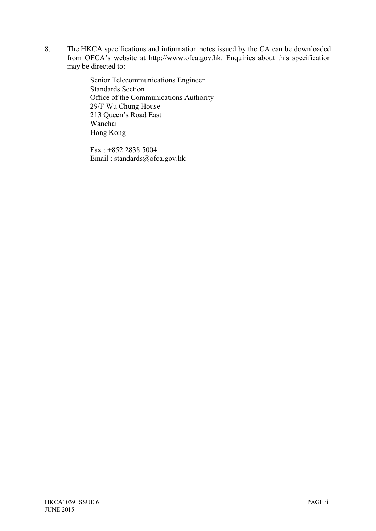8. The HKCA specifications and information notes issued by the CA can be downloaded from OFCA's website at http://www.ofca.gov.hk. Enquiries about this specification may be directed to:

> Senior Telecommunications Engineer Standards Section Office of the Communications Authority 29/F Wu Chung House 213 Queen's Road East Wanchai Hong Kong

Fax : +852 2838 5004 Email : standards@ofca.gov.hk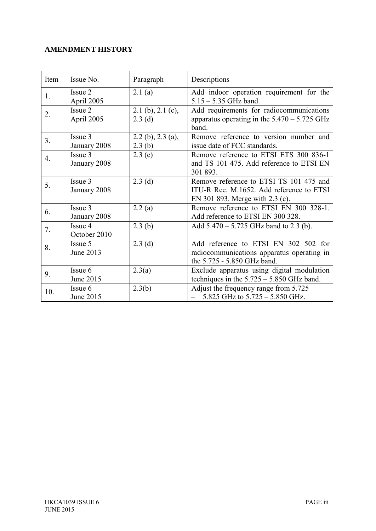# **AMENDMENT HISTORY**

| Item | Issue No.               | Paragraph                       | Descriptions                                                                                                           |
|------|-------------------------|---------------------------------|------------------------------------------------------------------------------------------------------------------------|
| 1.   | Issue 2<br>April 2005   | 2.1(a)                          | Add indoor operation requirement for the<br>$5.15 - 5.35$ GHz band.                                                    |
| 2.   | Issue 2<br>April 2005   | $2.1$ (b), $2.1$ (c),<br>2.3(d) | Add requirements for radiocommunications<br>apparatus operating in the $5.470 - 5.725$ GHz<br>band.                    |
| 3.   | Issue 3<br>January 2008 | $2.2$ (b), $2.3$ (a),<br>2.3(b) | Remove reference to version number and<br>issue date of FCC standards.                                                 |
| 4.   | Issue 3<br>January 2008 | 2.3(c)                          | Remove reference to ETSI ETS 300 836-1<br>and TS 101 475. Add reference to ETSI EN<br>301 893.                         |
| 5.   | Issue 3<br>January 2008 | 2.3(d)                          | Remove reference to ETSI TS 101 475 and<br>ITU-R Rec. M.1652. Add reference to ETSI<br>EN 301 893. Merge with 2.3 (c). |
| 6.   | Issue 3<br>January 2008 | 2.2(a)                          | Remove reference to ETSI EN 300 328-1.<br>Add reference to ETSI EN 300 328.                                            |
| 7.   | Issue 4<br>October 2010 | 2.3(b)                          | Add $5.470 - 5.725$ GHz band to 2.3 (b).                                                                               |
| 8.   | Issue 5<br>June 2013    | 2.3(d)                          | Add reference to ETSI EN 302 502 for<br>radiocommunications apparatus operating in<br>the 5.725 - 5.850 GHz band.      |
| 9.   | Issue 6<br>June 2015    | 2.3(a)                          | Exclude apparatus using digital modulation<br>techniques in the $5.725 - 5.850$ GHz band.                              |
| 10.  | Issue 6<br>June 2015    | 2.3(b)                          | Adjust the frequency range from 5.725<br>$-$ 5.825 GHz to 5.725 $-$ 5.850 GHz.                                         |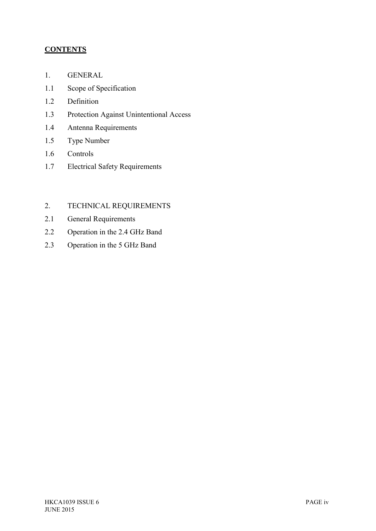# **CONTENTS**

- 1. GENERAL
- 1.1 Scope of Specification
- 1.2 Definition
- 1.3 Protection Against Unintentional Access
- 1.4 Antenna Requirements
- 1.5 Type Number
- 1.6 Controls
- 1.7 Electrical Safety Requirements

# 2. TECHNICAL REQUIREMENTS

- 2.1 General Requirements
- 2.2 Operation in the 2.4 GHz Band
- 2.3 Operation in the 5 GHz Band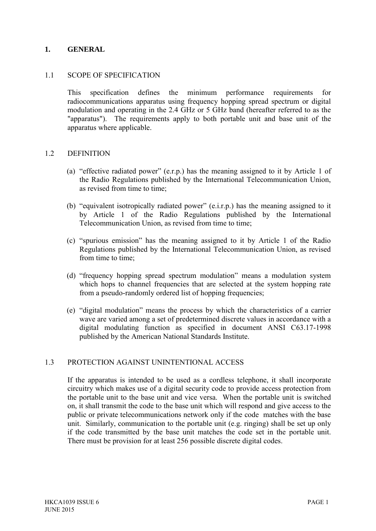#### **1. GENERAL**

#### 1.1 SCOPE OF SPECIFICATION

 This specification defines the minimum performance requirements for radiocommunications apparatus using frequency hopping spread spectrum or digital modulation and operating in the 2.4 GHz or 5 GHz band (hereafter referred to as the "apparatus"). The requirements apply to both portable unit and base unit of the apparatus where applicable.

#### 1.2 DEFINITION

- (a) "effective radiated power" (e.r.p.) has the meaning assigned to it by Article 1 of the Radio Regulations published by the International Telecommunication Union, as revised from time to time;
- (b) "equivalent isotropically radiated power" (e.i.r.p.) has the meaning assigned to it by Article 1 of the Radio Regulations published by the International Telecommunication Union, as revised from time to time;
- (c) "spurious emission" has the meaning assigned to it by Article 1 of the Radio Regulations published by the International Telecommunication Union, as revised from time to time;
- (d) "frequency hopping spread spectrum modulation" means a modulation system which hops to channel frequencies that are selected at the system hopping rate from a pseudo-randomly ordered list of hopping frequencies;
- (e) "digital modulation" means the process by which the characteristics of a carrier wave are varied among a set of predetermined discrete values in accordance with a digital modulating function as specified in document ANSI C63.17-1998 published by the American National Standards Institute.

#### 1.3 PROTECTION AGAINST UNINTENTIONAL ACCESS

 If the apparatus is intended to be used as a cordless telephone, it shall incorporate circuitry which makes use of a digital security code to provide access protection from the portable unit to the base unit and vice versa. When the portable unit is switched on, it shall transmit the code to the base unit which will respond and give access to the public or private telecommunications network only if the code matches with the base unit. Similarly, communication to the portable unit (e.g. ringing) shall be set up only if the code transmitted by the base unit matches the code set in the portable unit. There must be provision for at least 256 possible discrete digital codes.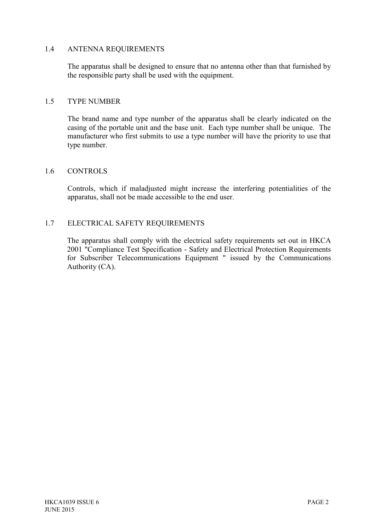#### 1.4 ANTENNA REQUIREMENTS

 The apparatus shall be designed to ensure that no antenna other than that furnished by the responsible party shall be used with the equipment.

#### 1.5 TYPE NUMBER

 The brand name and type number of the apparatus shall be clearly indicated on the casing of the portable unit and the base unit. Each type number shall be unique. The manufacturer who first submits to use a type number will have the priority to use that type number.

#### 1.6 CONTROLS

 Controls, which if maladjusted might increase the interfering potentialities of the apparatus, shall not be made accessible to the end user.

#### 1.7 ELECTRICAL SAFETY REQUIREMENTS

 The apparatus shall comply with the electrical safety requirements set out in HKCA 2001 "Compliance Test Specification - Safety and Electrical Protection Requirements for Subscriber Telecommunications Equipment " issued by the Communications Authority (CA).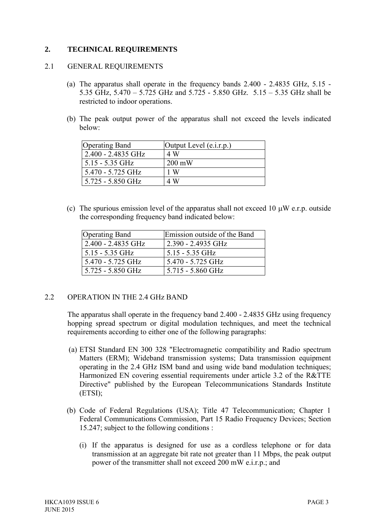## **2. TECHNICAL REQUIREMENTS**

#### 2.1 GENERAL REQUIREMENTS

- (a) The apparatus shall operate in the frequency bands 2.400 2.4835 GHz, 5.15 5.35 GHz, 5.470 – 5.725 GHz and 5.725 - 5.850 GHz. 5.15 – 5.35 GHz shall be restricted to indoor operations.
- (b) The peak output power of the apparatus shall not exceed the levels indicated below:

| <b>Operating Band</b> | Output Level (e.i.r.p.) |
|-----------------------|-------------------------|
| 2.400 - 2.4835 GHz    | 4 W                     |
| $5.15 - 5.35$ GHz     | $200 \text{ mW}$        |
| 5.470 - 5.725 GHz     | 1 W                     |
| 5.725 - 5.850 GHz     | 4 W                     |

(c) The spurious emission level of the apparatus shall not exceed 10  $\mu$ W e.r.p. outside the corresponding frequency band indicated below:

| <b>Operating Band</b> | Emission outside of the Band |
|-----------------------|------------------------------|
| 2.400 - 2.4835 GHz    | 2.390 - 2.4935 GHz           |
| $5.15 - 5.35$ GHz     | $5.15 - 5.35$ GHz            |
| 5.470 - 5.725 GHz     | 5.470 - 5.725 GHz            |
| 5.725 - 5.850 GHz     | 5.715 - 5.860 GHz            |

#### 2.2 OPERATION IN THE 2.4 GHz BAND

The apparatus shall operate in the frequency band 2.400 - 2.4835 GHz using frequency hopping spread spectrum or digital modulation techniques, and meet the technical requirements according to either one of the following paragraphs:

- (a) ETSI Standard EN 300 328 "Electromagnetic compatibility and Radio spectrum Matters (ERM); Wideband transmission systems; Data transmission equipment operating in the 2.4 GHz ISM band and using wide band modulation techniques; Harmonized EN covering essential requirements under article 3.2 of the R&TTE Directive" published by the European Telecommunications Standards Institute (ETSI);
- (b) Code of Federal Regulations (USA); Title 47 Telecommunication; Chapter 1 Federal Communications Commission, Part 15 Radio Frequency Devices; Section 15.247; subject to the following conditions :
	- (i) If the apparatus is designed for use as a cordless telephone or for data transmission at an aggregate bit rate not greater than 11 Mbps, the peak output power of the transmitter shall not exceed 200 mW e.i.r.p.; and